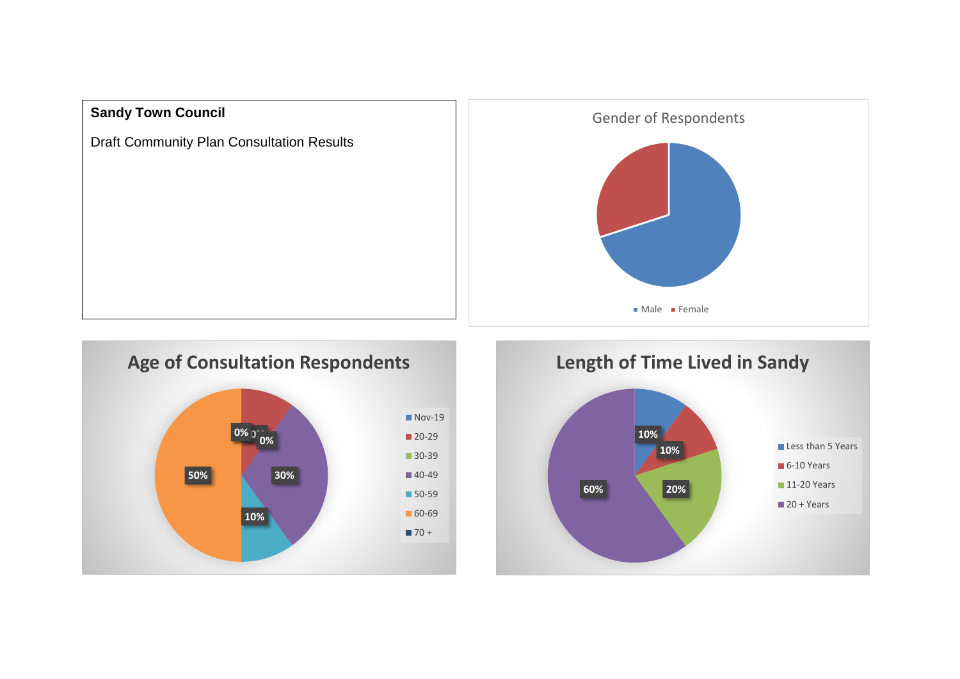





**Length of Time Lived in Sandy**

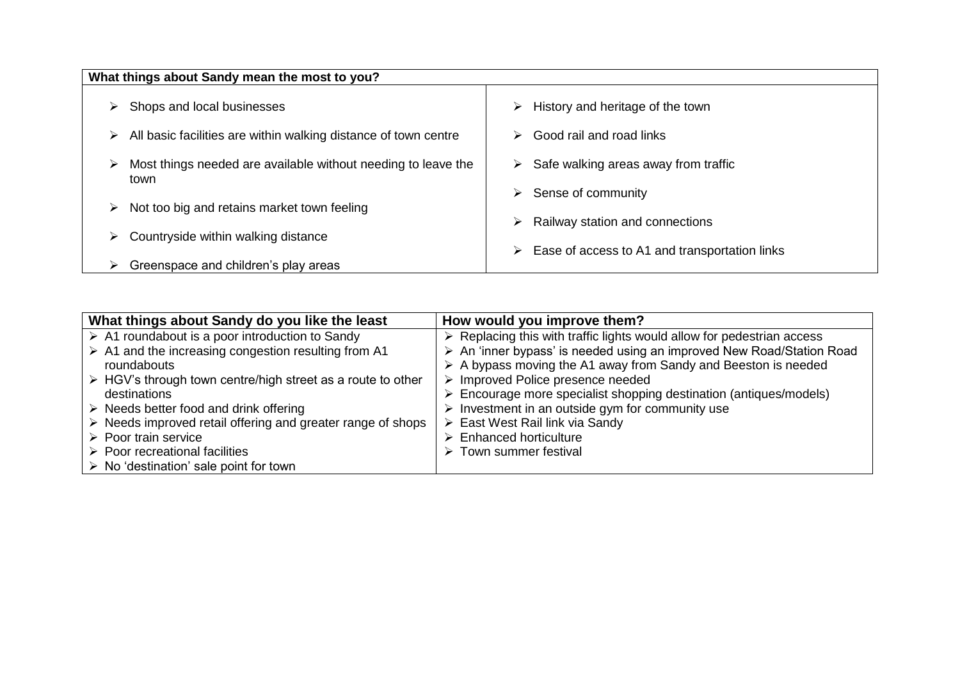|   | What things about Sandy mean the most to you?                         |                                                                                |  |  |  |
|---|-----------------------------------------------------------------------|--------------------------------------------------------------------------------|--|--|--|
| ➤ | Shops and local businesses                                            | History and heritage of the town<br>➤                                          |  |  |  |
| ➤ | All basic facilities are within walking distance of town centre       | Good rail and road links<br>$\triangleright$                                   |  |  |  |
| ➤ | Most things needed are available without needing to leave the<br>town | Safe walking areas away from traffic<br>➤                                      |  |  |  |
| ➤ | Not too big and retains market town feeling                           | Sense of community<br>$\triangleright$<br>Railway station and connections<br>➤ |  |  |  |
| ➤ | Countryside within walking distance                                   | Ease of access to A1 and transportation links<br>$\blacktriangleright$         |  |  |  |
|   | Greenspace and children's play areas                                  |                                                                                |  |  |  |

| What things about Sandy do you like the least                              | How would you improve them?                                                           |
|----------------------------------------------------------------------------|---------------------------------------------------------------------------------------|
| $\triangleright$ A1 roundabout is a poor introduction to Sandy             | $\triangleright$ Replacing this with traffic lights would allow for pedestrian access |
| $\triangleright$ A1 and the increasing congestion resulting from A1        | > An 'inner bypass' is needed using an improved New Road/Station Road                 |
| roundabouts                                                                | $\triangleright$ A bypass moving the A1 away from Sandy and Beeston is needed         |
| $\triangleright$ HGV's through town centre/high street as a route to other | > Improved Police presence needed                                                     |
| destinations                                                               | $\triangleright$ Encourage more specialist shopping destination (antiques/models)     |
| $\triangleright$ Needs better food and drink offering                      | $\triangleright$ Investment in an outside gym for community use                       |
| $\triangleright$ Needs improved retail offering and greater range of shops | $\triangleright$ East West Rail link via Sandy                                        |
| $\triangleright$ Poor train service                                        | $\triangleright$ Enhanced horticulture                                                |
| $\triangleright$ Poor recreational facilities                              | Town summer festival                                                                  |
| $\triangleright$ No 'destination' sale point for town                      |                                                                                       |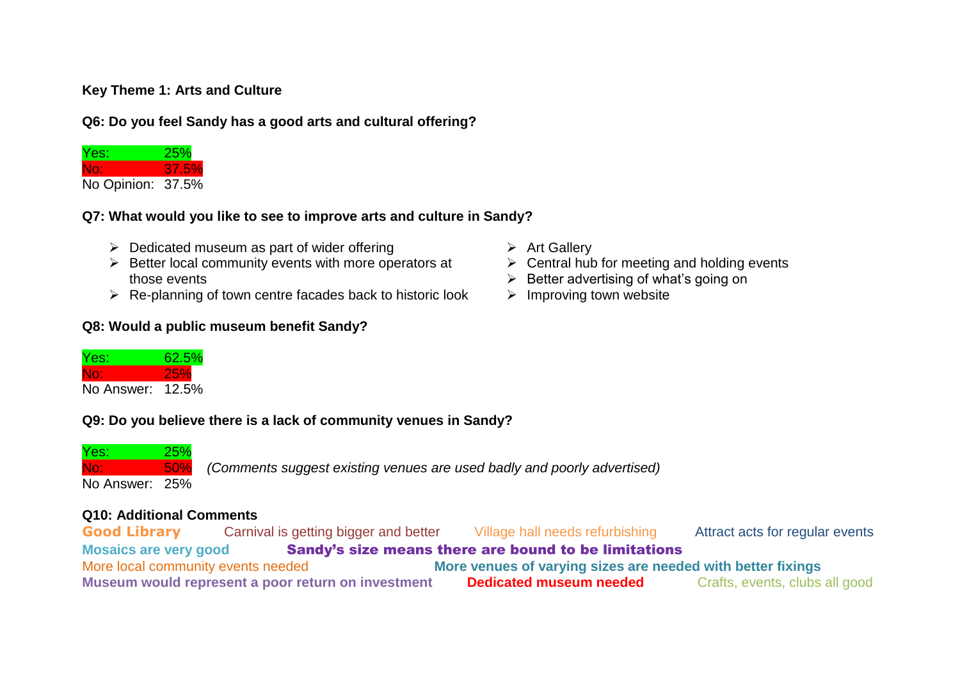#### **Key Theme 1: Arts and Culture**

**Q6: Do you feel Sandy has a good arts and cultural offering?**

| res:                | 25%    |
|---------------------|--------|
| un "                |        |
| $N_{\alpha}$ $\cap$ | 27.507 |

No Opinion: 37.5%

### **Q7: What would you like to see to improve arts and culture in Sandy?**

- $\triangleright$  Dedicated museum as part of wider offering
- ➢ Better local community events with more operators at those events
- $\triangleright$  Re-planning of town centre facades back to historic look

## **Q8: Would a public museum benefit Sandy?**

| <b>Art Gallery</b> |  |
|--------------------|--|
|--------------------|--|

- $\triangleright$  Central hub for meeting and holding events
- ➢ Better advertising of what's going on
- $\triangleright$  Improving town website

| Yes:       | 62.5% |  |  |  |
|------------|-------|--|--|--|
| No:        | 25%   |  |  |  |
| No Answer: | 12.5% |  |  |  |

## **Q9: Do you believe there is a lack of community venues in Sandy?**



No: 50% *(Comments suggest existing venues are used badly and poorly advertised)*

#### **Q10: Additional Comments**

**Good Library** Carnival is getting bigger and betterVillage hall needs refurbishing Attract acts for regular events **Mosaics are very good** Sandy's size means there are bound to be limitations More local community events needed **More venues of varying sizes are needed with better fixings Museum would represent a poor return on investment <b>Dedicated museum needed** Crafts, events, clubs all good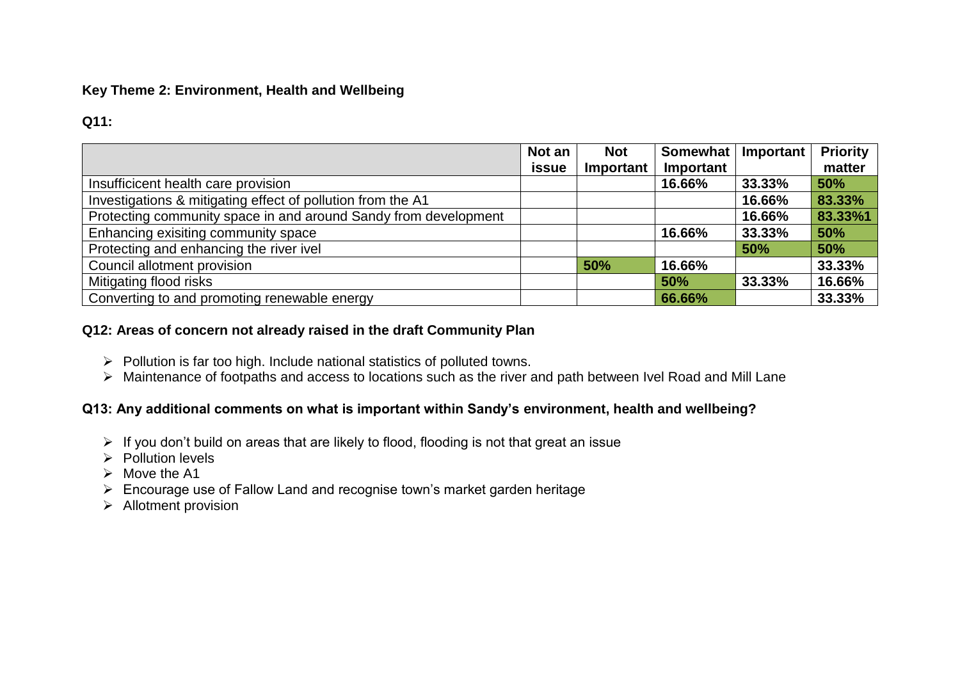## **Key Theme 2: Environment, Health and Wellbeing**

#### **Q11:**

|                                                                 | Not an       | <b>Not</b> | Somewhat  | Important | <b>Priority</b> |
|-----------------------------------------------------------------|--------------|------------|-----------|-----------|-----------------|
|                                                                 | <b>issue</b> | Important  | Important |           | matter          |
| Insufficicent health care provision                             |              |            | 16.66%    | 33.33%    | 50%             |
| Investigations & mitigating effect of pollution from the A1     |              |            |           | 16.66%    | 83.33%          |
| Protecting community space in and around Sandy from development |              |            |           | 16.66%    | 83.33%1         |
| Enhancing exisiting community space                             |              |            | 16.66%    | 33.33%    | 50%             |
| Protecting and enhancing the river ivel                         |              |            |           | 50%       | 50%             |
| Council allotment provision                                     |              | 50%        | 16.66%    |           | 33.33%          |
| Mitigating flood risks                                          |              |            | 50%       | 33.33%    | 16.66%          |
| Converting to and promoting renewable energy                    |              |            | 66.66%    |           | 33.33%          |

### **Q12: Areas of concern not already raised in the draft Community Plan**

- ➢ Pollution is far too high. Include national statistics of polluted towns.
- ➢ Maintenance of footpaths and access to locations such as the river and path between Ivel Road and Mill Lane

# **Q13: Any additional comments on what is important within Sandy's environment, health and wellbeing?**

- ➢ If you don't build on areas that are likely to flood, flooding is not that great an issue
- ➢ Pollution levels
- ➢ Move the A1
- ➢ Encourage use of Fallow Land and recognise town's market garden heritage
- ➢ Allotment provision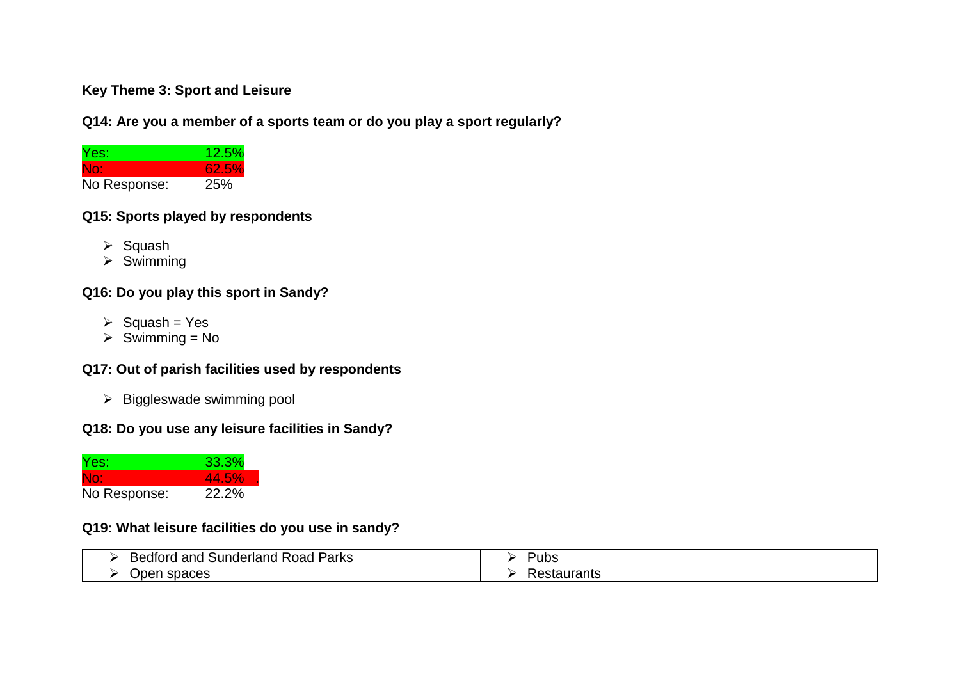## **Key Theme 3: Sport and Leisure**

**Q14: Are you a member of a sports team or do you play a sport regularly?**

| Yes:         | 12.5% |
|--------------|-------|
| No:          | 62.5% |
| No Response: | 25%   |

## **Q15: Sports played by respondents**

- ➢ Squash
- ➢ Swimming

# **Q16: Do you play this sport in Sandy?**

- $\triangleright$  Squash = Yes
- $\triangleright$  Swimming = No

# **Q17: Out of parish facilities used by respondents**

➢ Biggleswade swimming pool

# **Q18: Do you use any leisure facilities in Sandy?**

| Yes:         | 33.3% |
|--------------|-------|
| No:          | 44.5% |
| No Response: | 22.2% |

## **Q19: What leisure facilities do you use in sandy?**

| Parks<br><b>Bedford</b><br>Sunderland<br>and<br>Road | 'ubs      |
|------------------------------------------------------|-----------|
| spaces                                               | াaurants: |
| ⊃per                                                 | المحادين  |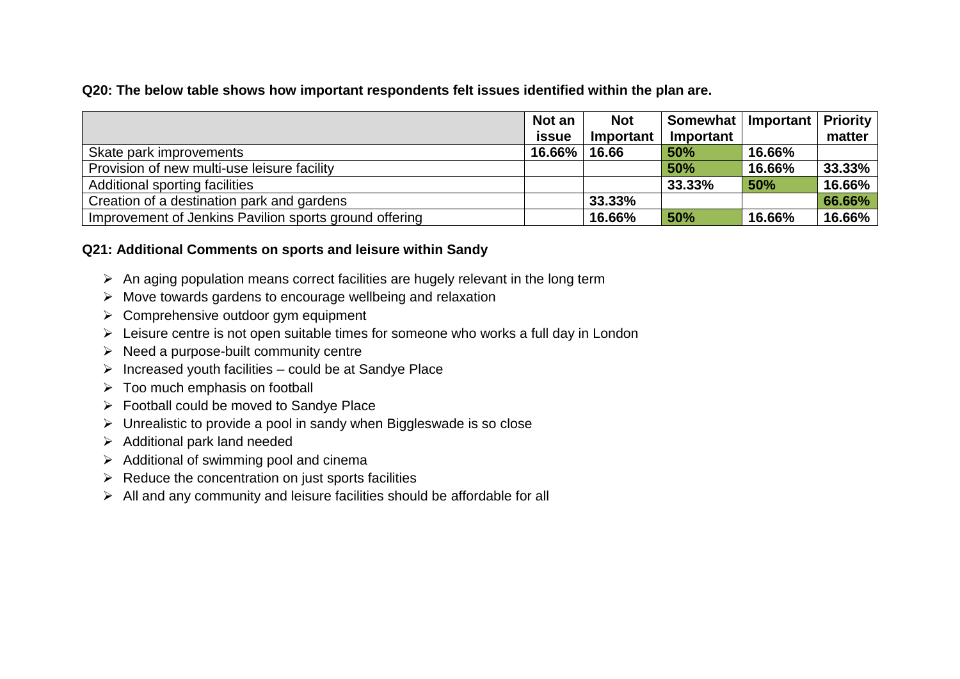#### **Q20: The below table shows how important respondents felt issues identified within the plan are.**

|                                                        | Not an       | <b>Not</b> | Somewhat   Important   Priority |        |        |
|--------------------------------------------------------|--------------|------------|---------------------------------|--------|--------|
|                                                        | issue        | Important  | Important                       |        | matter |
| Skate park improvements                                | 16.66% 16.66 |            | 50%                             | 16.66% |        |
| Provision of new multi-use leisure facility            |              |            | 50%                             | 16.66% | 33.33% |
| Additional sporting facilities                         |              |            | 33.33%                          | 50%    | 16.66% |
| Creation of a destination park and gardens             |              | 33.33%     |                                 |        | 66.66% |
| Improvement of Jenkins Pavilion sports ground offering |              | 16.66%     | 50%                             | 16.66% | 16.66% |

### **Q21: Additional Comments on sports and leisure within Sandy**

- $\triangleright$  An aging population means correct facilities are hugely relevant in the long term
- ➢ Move towards gardens to encourage wellbeing and relaxation
- ➢ Comprehensive outdoor gym equipment
- ➢ Leisure centre is not open suitable times for someone who works a full day in London
- ➢ Need a purpose-built community centre
- $\triangleright$  Increased youth facilities could be at Sandye Place
- $\triangleright$  Too much emphasis on football
- ➢ Football could be moved to Sandye Place
- $\triangleright$  Unrealistic to provide a pool in sandy when Biggleswade is so close
- ➢ Additional park land needed
- ➢ Additional of swimming pool and cinema
- $\triangleright$  Reduce the concentration on just sports facilities
- ➢ All and any community and leisure facilities should be affordable for all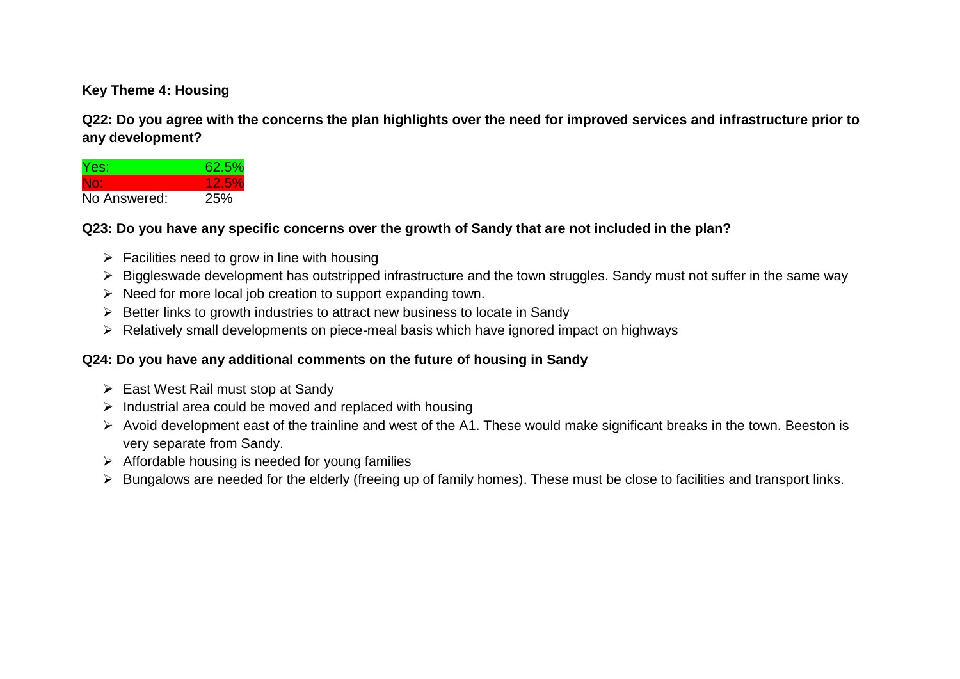## **Key Theme 4: Housing**

**Q22: Do you agree with the concerns the plan highlights over the need for improved services and infrastructure prior to any development?**

| Yes:         | 62.5% |
|--------------|-------|
| No:          | 12.5% |
| No Answered: | 25%   |

## **Q23: Do you have any specific concerns over the growth of Sandy that are not included in the plan?**

- $\triangleright$  Facilities need to grow in line with housing
- ➢ Biggleswade development has outstripped infrastructure and the town struggles. Sandy must not suffer in the same way
- ➢ Need for more local job creation to support expanding town.
- ➢ Better links to growth industries to attract new business to locate in Sandy
- ➢ Relatively small developments on piece-meal basis which have ignored impact on highways

# **Q24: Do you have any additional comments on the future of housing in Sandy**

- ➢ East West Rail must stop at Sandy
- ➢ Industrial area could be moved and replaced with housing
- ➢ Avoid development east of the trainline and west of the A1. These would make significant breaks in the town. Beeston is very separate from Sandy.
- $\triangleright$  Affordable housing is needed for young families
- ➢ Bungalows are needed for the elderly (freeing up of family homes). These must be close to facilities and transport links.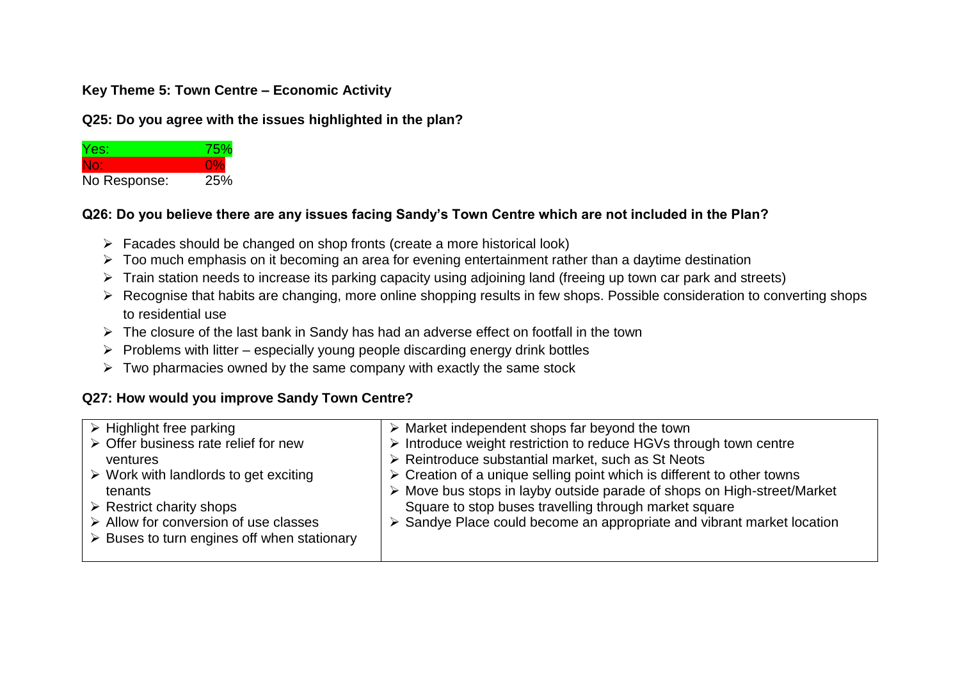### **Key Theme 5: Town Centre – Economic Activity**

**Q25: Do you agree with the issues highlighted in the plan?**

| Yes:         | 75%   |
|--------------|-------|
| No:          | $0\%$ |
| No Response: | 25%   |

## **Q26: Do you believe there are any issues facing Sandy's Town Centre which are not included in the Plan?**

- ➢ Facades should be changed on shop fronts (create a more historical look)
- ➢ Too much emphasis on it becoming an area for evening entertainment rather than a daytime destination
- ➢ Train station needs to increase its parking capacity using adjoining land (freeing up town car park and streets)
- ➢ Recognise that habits are changing, more online shopping results in few shops. Possible consideration to converting shops to residential use
- $\triangleright$  The closure of the last bank in Sandy has had an adverse effect on footfall in the town
- $\triangleright$  Problems with litter especially young people discarding energy drink bottles
- $\triangleright$  Two pharmacies owned by the same company with exactly the same stock

# **Q27: How would you improve Sandy Town Centre?**

| $\triangleright$ Highlight free parking                    | $\triangleright$ Market independent shops far beyond the town                         |
|------------------------------------------------------------|---------------------------------------------------------------------------------------|
| $\triangleright$ Offer business rate relief for new        | > Introduce weight restriction to reduce HGVs through town centre                     |
| ventures                                                   | > Reintroduce substantial market, such as St Neots                                    |
| $\triangleright$ Work with landlords to get exciting       | $\triangleright$ Creation of a unique selling point which is different to other towns |
| tenants                                                    | > Move bus stops in layby outside parade of shops on High-street/Market               |
| $\triangleright$ Restrict charity shops                    | Square to stop buses travelling through market square                                 |
| $\triangleright$ Allow for conversion of use classes       | > Sandye Place could become an appropriate and vibrant market location                |
| $\triangleright$ Buses to turn engines off when stationary |                                                                                       |
|                                                            |                                                                                       |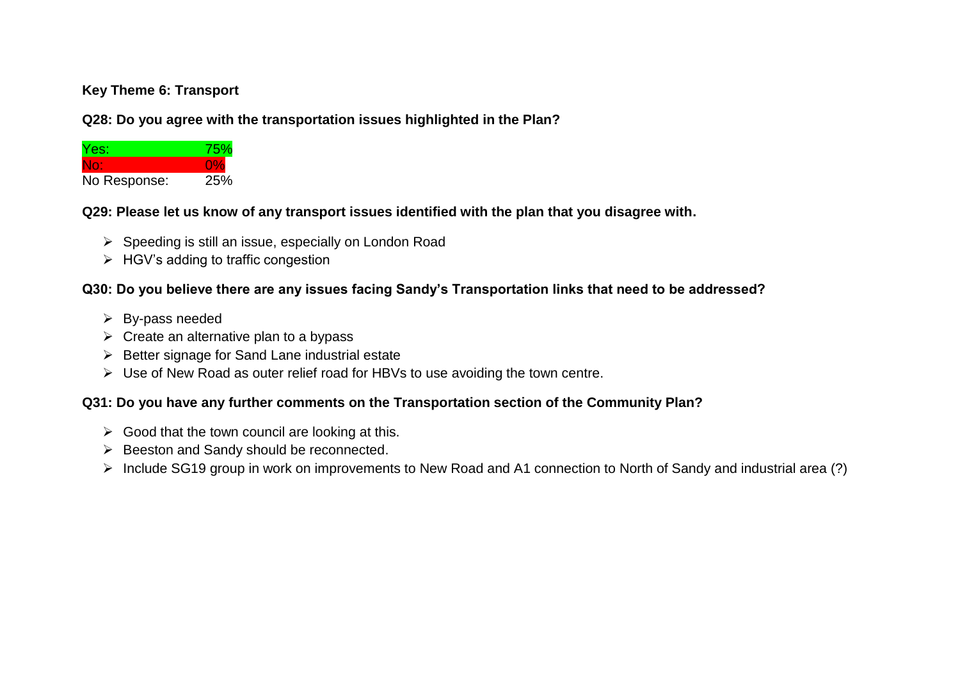### **Key Theme 6: Transport**

**Q28: Do you agree with the transportation issues highlighted in the Plan?**

| Yes:         | 75%   |
|--------------|-------|
| No:          | $0\%$ |
| No Response: | 25%   |

**Q29: Please let us know of any transport issues identified with the plan that you disagree with.**

- ➢ Speeding is still an issue, especially on London Road
- ➢ HGV's adding to traffic congestion

## **Q30: Do you believe there are any issues facing Sandy's Transportation links that need to be addressed?**

- ➢ By-pass needed
- $\triangleright$  Create an alternative plan to a bypass
- ➢ Better signage for Sand Lane industrial estate
- ➢ Use of New Road as outer relief road for HBVs to use avoiding the town centre.

# **Q31: Do you have any further comments on the Transportation section of the Community Plan?**

- $\triangleright$  Good that the town council are looking at this.
- ➢ Beeston and Sandy should be reconnected.
- ➢ Include SG19 group in work on improvements to New Road and A1 connection to North of Sandy and industrial area (?)